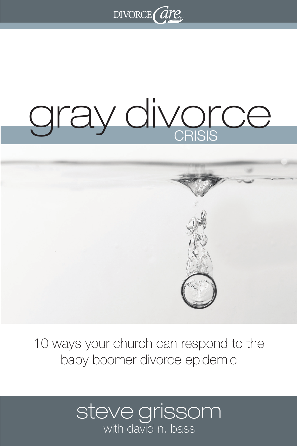

# gray divorce

# **SHE**

10 ways your church can respond to the baby boomer divorce epidemic

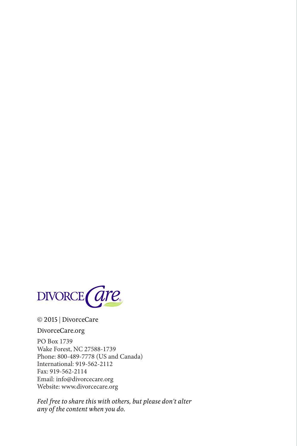

### © 2015 | DivorceCare

### DivorceCare.org

PO Box 1739 Wake Forest, NC 27588-1739 Phone: 800-489-7778 (US and Canada) International: 919-562-2112 Fax: 919-562-2114 Email: info@divorcecare.org Website: www.divorcecare.org

*Feel free to share this with others, but please don't alter any of the content when you do.*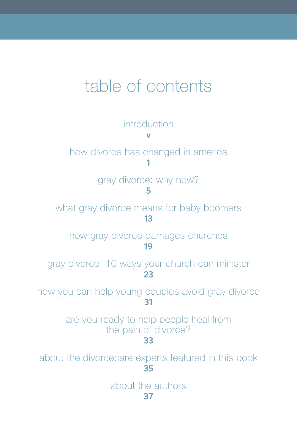# table of contents

**introduction v** how divorce has changed in america **1** gray divorce: why now? **5** what gray divorce means for baby boomers **13** how gray divorce damages churches **19** gray divorce: 10 ways your church can minister **23** how you can help young couples avoid gray divorce **31** are you ready to help people heal from the pain of divorce? **33** about the divorcecare experts featured in this book **35** about the authors **37**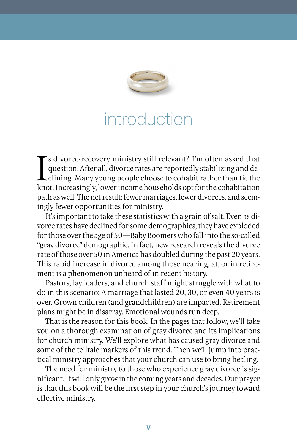

# introduction

I'm often asked that<br>question. After all, divorce rates are reportedly stabilizing and de-<br>clining. Many young people choose to cohabit rather than tie the<br>knot. Increasingly, lower income households opt for the cohabitati s divorce-recovery ministry still relevant? I'm often asked that question. After all, divorce rates are reportedly stabilizing and de- $\blacktriangle$  clining. Many young people choose to cohabit rather than tie the path as well. The net result: fewer marriages, fewer divorces, and seemingly fewer opportunities for ministry.

It's important to take these statistics with a grain of salt. Even as divorce rates have declined for some demographics, they have exploded for those over the age of 50—Baby Boomers who fall into the so-called "gray divorce" demographic. In fact, new research reveals the divorce rate of those over 50 in America has doubled during the past 20 years. This rapid increase in divorce among those nearing, at, or in retirement is a phenomenon unheard of in recent history.

Pastors, lay leaders, and church staff might struggle with what to do in this scenario: A marriage that lasted 20, 30, or even 40 years is over. Grown children (and grandchildren) are impacted. Retirement plans might be in disarray. Emotional wounds run deep.

That is the reason for this book. In the pages that follow, we'll take you on a thorough examination of gray divorce and its implications for church ministry. We'll explore what has caused gray divorce and some of the telltale markers of this trend. Then we'll jump into practical ministry approaches that your church can use to bring healing.

The need for ministry to those who experience gray divorce is significant. It will only grow in the coming years and decades. Our prayer is that this book will be the first step in your church's journey toward effective ministry.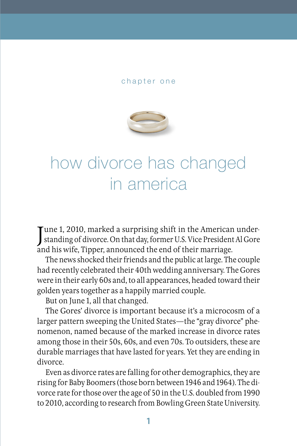### chapter one



# how divorce has changed in america

June 1, 2010, marked a surprising shift in the American under-<br>standing of divorce. On that day, former U.S. Vice President Al Gore Tune 1, 2010, marked a surprising shift in the American underand his wife, Tipper, announced the end of their marriage.

The news shocked their friends and the public at large. The couple had recently celebrated their 40th wedding anniversary. The Gores were in their early 60s and, to all appearances, headed toward their golden years together as a happily married couple.

But on June 1, all that changed.

The Gores' divorce is important because it's a microcosm of a larger pattern sweeping the United States—the "gray divorce" phenomenon, named because of the marked increase in divorce rates among those in their 50s, 60s, and even 70s. To outsiders, these are durable marriages that have lasted for years. Yet they are ending in divorce.

Even as divorce rates are falling for other demographics, they are rising for Baby Boomers (those born between 1946 and 1964). The divorce rate for those over the age of 50 in the U.S. doubled from 1990 to 2010, according to research from Bowling Green State University.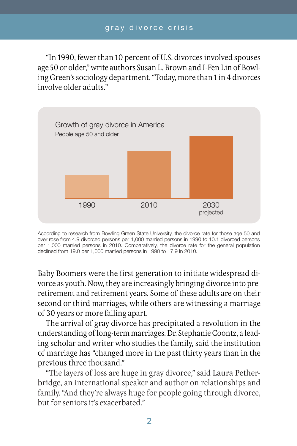"In 1990, fewer than 10 percent of U.S. divorces involved spouses age 50 or older," write authors Susan L. Brown and I-Fen Lin of Bowling Green's sociology department. "Today, more than 1 in 4 divorces involve older adults."



According to research from Bowling Green State University, the divorce rate for those age 50 and over rose from 4.9 divorced persons per 1,000 married persons in 1990 to 10.1 divorced persons per 1,000 married persons in 2010. Comparatively, the divorce rate for the general population declined from 19.0 per 1,000 married persons in 1990 to 17.9 in 2010.

Baby Boomers were the first generation to initiate widespread divorce as youth. Now, they are increasingly bringing divorce into preretirement and retirement years. Some of these adults are on their second or third marriages, while others are witnessing a marriage of 30 years or more falling apart.

The arrival of gray divorce has precipitated a revolution in the understanding of long-term marriages. Dr. Stephanie Coontz, a leading scholar and writer who studies the family, said the institution of marriage has "changed more in the past thirty years than in the previous three thousand."

"The layers of loss are huge in gray divorce," said Laura Petherbridge, an international speaker and author on relationships and family. "And they're always huge for people going through divorce, but for seniors it's exacerbated."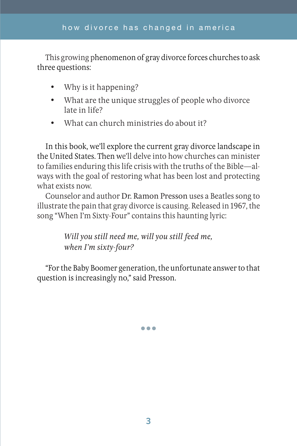This growing phenomenon of gray divorce forces churches to ask three questions:

- Why is it happening?
- • What are the unique struggles of people who divorce late in life?
- What can church ministries do about it?

In this book, we'll explore the current gray divorce landscape in the United States. Then we'll delve into how churches can minister to families enduring this life crisis with the truths of the Bible—always with the goal of restoring what has been lost and protecting what exists now.

Counselor and author Dr. Ramon Presson uses a Beatles song to illustrate the pain that gray divorce is causing. Released in 1967, the song "When I'm Sixty-Four" contains this haunting lyric:

> *Will you still need me, will you still feed me, when I'm sixty-four?*

"For the Baby Boomer generation, the unfortunate answer to that question is increasingly no," said Presson.

•••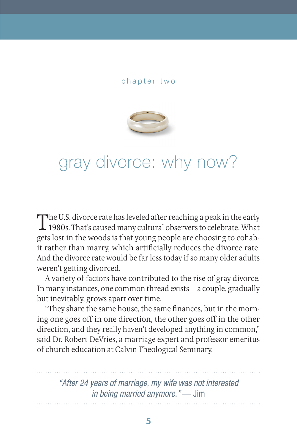### chapter two



# gray divorce: why now?

The U.S. divorce rate has leveled after reaching a peak in the early<br>1980s. That's caused many cultural observers to celebrate. What gets lost in the woods is that young people are choosing to cohabit rather than marry, which artificially reduces the divorce rate. And the divorce rate would be far less today if so many older adults weren't getting divorced.

A variety of factors have contributed to the rise of gray divorce. In many instances, one common thread exists—a couple, gradually but inevitably, grows apart over time.

"They share the same house, the same finances, but in the morning one goes off in one direction, the other goes off in the other direction, and they really haven't developed anything in common," said Dr. Robert DeVries, a marriage expert and professor emeritus of church education at Calvin Theological Seminary.

*"After 24 years of marriage, my wife was not interested in being married anymore."* — Jim

**5**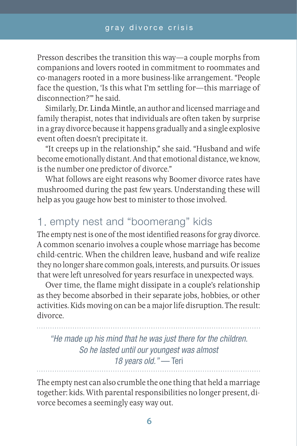Presson describes the transition this way—a couple morphs from companions and lovers rooted in commitment to roommates and co-managers rooted in a more business-like arrangement. "People face the question, 'Is this what I'm settling for—this marriage of disconnection?'" he said.

Similarly, Dr. Linda Mintle, an author and licensed marriage and family therapist, notes that individuals are often taken by surprise in a gray divorce because it happens gradually and a single explosive event often doesn't precipitate it.

"It creeps up in the relationship," she said. "Husband and wife become emotionally distant. And that emotional distance, we know, is the number one predictor of divorce."

What follows are eight reasons why Boomer divorce rates have mushroomed during the past few years. Understanding these will help as you gauge how best to minister to those involved.

# 1. empty nest and "boomerang" kids

The empty nest is one of the most identified reasons for gray divorce. A common scenario involves a couple whose marriage has become child-centric. When the children leave, husband and wife realize they no longer share common goals, interests, and pursuits. Or issues that were left unresolved for years resurface in unexpected ways.

Over time, the flame might dissipate in a couple's relationship as they become absorbed in their separate jobs, hobbies, or other activities. Kids moving on can be a major life disruption. The result: divorce.

*"He made up his mind that he was just there for the children. So he lasted until our youngest was almost 18 years old."* — Teri

The empty nest can also crumble the one thing that held a marriage together: kids. With parental responsibilities no longer present, divorce becomes a seemingly easy way out.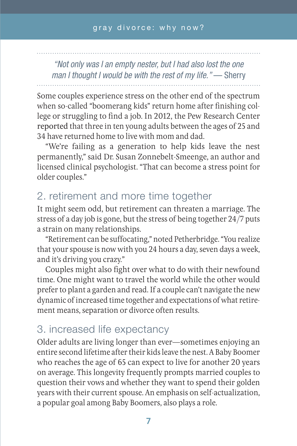*"Not only was I an empty nester, but I had also lost the one man I thought I would be with the rest of my life."* — Sherry

Some couples experience stress on the other end of the spectrum when so-called "boomerang kids" return home after finishing college or struggling to find a job. In 2012, the Pew Research Center reported that three in ten young adults between the ages of 25 and 34 have returned home to live with mom and dad.

"We're failing as a generation to help kids leave the nest permanently," said Dr. Susan Zonnebelt-Smeenge, an author and licensed clinical psychologist. "That can become a stress point for older couples."

# 2. retirement and more time together

It might seem odd, but retirement can threaten a marriage. The stress of a day job is gone, but the stress of being together 24/7 puts a strain on many relationships.

"Retirement can be suffocating," noted Petherbridge. "You realize that your spouse is now with you 24 hours a day, seven days a week, and it's driving you crazy."

Couples might also fight over what to do with their newfound time. One might want to travel the world while the other would prefer to plant a garden and read. If a couple can't navigate the new dynamic of increased time together and expectations of what retirement means, separation or divorce often results.

# 3. increased life expectancy

Older adults are living longer than ever—sometimes enjoying an entire second lifetime after their kids leave the nest. A Baby Boomer who reaches the age of 65 can expect to live for another 20 years on average. This longevity frequently prompts married couples to question their vows and whether they want to spend their golden years with their current spouse. An emphasis on self-actualization, a popular goal among Baby Boomers, also plays a role.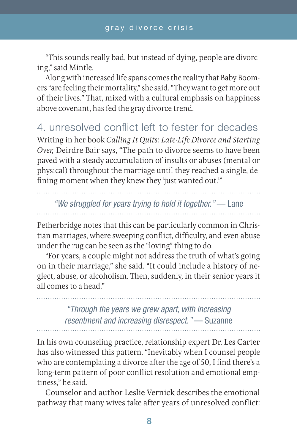"This sounds really bad, but instead of dying, people are divorcing," said Mintle.

Along with increased life spans comes the reality that Baby Boomers "are feeling their mortality," she said. "They want to get more out of their lives." That, mixed with a cultural emphasis on happiness above covenant, has fed the gray divorce trend.

4. unresolved conflict left to fester for decades Writing in her book *Calling It Quits: Late-Life Divorce and Starting Over,* Deirdre Bair says, "The path to divorce seems to have been paved with a steady accumulation of insults or abuses (mental or physical) throughout the marriage until they reached a single, defining moment when they knew they 'just wanted out."

*"We struggled for years trying to hold it together."* — Lane

Petherbridge notes that this can be particularly common in Christian marriages, where sweeping conflict, difficulty, and even abuse under the rug can be seen as the "loving" thing to do.

"For years, a couple might not address the truth of what's going on in their marriage," she said. "It could include a history of neglect, abuse, or alcoholism. Then, suddenly, in their senior years it all comes to a head."

> *"Through the years we grew apart, with increasing resentment and increasing disrespect."* — Suzanne

In his own counseling practice, relationship expert Dr. Les Carter has also witnessed this pattern. "Inevitably when I counsel people who are contemplating a divorce after the age of 50, I find there's a long-term pattern of poor conflict resolution and emotional emptiness," he said.

Counselor and author Leslie Vernick describes the emotional pathway that many wives take after years of unresolved conflict: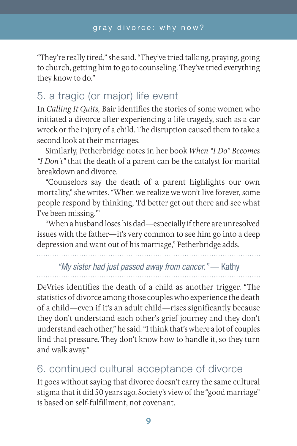"They're really tired," she said. "They've tried talking, praying, going to church, getting him to go to counseling. They've tried everything they know to do."

# 5. a tragic (or major) life event

In *Calling It Quits,* Bair identifies the stories of some women who initiated a divorce after experiencing a life tragedy, such as a car wreck or the injury of a child. The disruption caused them to take a second look at their marriages.

Similarly, Petherbridge notes in her book *When "I Do" Becomes "I Don't"* that the death of a parent can be the catalyst for marital breakdown and divorce.

"Counselors say the death of a parent highlights our own mortality," she writes. "When we realize we won't live forever, some people respond by thinking, 'I'd better get out there and see what I've been missing.'"

"When a husband loses his dad—especially if there are unresolved issues with the father—it's very common to see him go into a deep depression and want out of his marriage," Petherbridge adds.

# *"My sister had just passed away from cancer."* — Kathy

DeVries identifies the death of a child as another trigger. "The statistics of divorce among those couples who experience the death of a child—even if it's an adult child—rises significantly because they don't understand each other's grief journey and they don't understand each other," he said. "I think that's where a lot of couples find that pressure. They don't know how to handle it, so they turn and walk away."

# 6. continued cultural acceptance of divorce

It goes without saying that divorce doesn't carry the same cultural stigma that it did 50 years ago. Society's view of the "good marriage" is based on self-fulfillment, not covenant.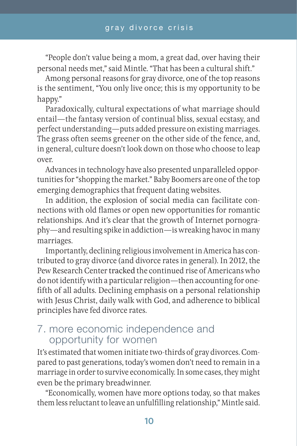"People don't value being a mom, a great dad, over having their personal needs met," said Mintle. "That has been a cultural shift."

Among personal reasons for gray divorce, one of the top reasons is the sentiment, "You only live once; this is my opportunity to be happy."

Paradoxically, cultural expectations of what marriage should entail—the fantasy version of continual bliss, sexual ecstasy, and perfect understanding—puts added pressure on existing marriages. The grass often seems greener on the other side of the fence, and, in general, culture doesn't look down on those who choose to leap over.

Advances in technology have also presented unparalleled opportunities for "shopping the market." Baby Boomers are one of the top emerging demographics that frequent dating websites.

In addition, the explosion of social media can facilitate connections with old flames or open new opportunities for romantic relationships. And it's clear that the growth of Internet pornography—and resulting spike in addiction—is wreaking havoc in many marriages.

Importantly, declining religious involvement in America has contributed to gray divorce (and divorce rates in general). In 2012, the Pew Research Center tracked the continued rise of Americans who do not identify with a particular religion—then accounting for onefifth of all adults. Declining emphasis on a personal relationship with Jesus Christ, daily walk with God, and adherence to biblical principles have fed divorce rates.

# 7. more economic independence and opportunity for women

It's estimated that women initiate two-thirds of gray divorces. Compared to past generations, today's women don't need to remain in a marriage in order to survive economically. In some cases, they might even be the primary breadwinner.

"Economically, women have more options today, so that makes them less reluctant to leave an unfulfilling relationship," Mintle said.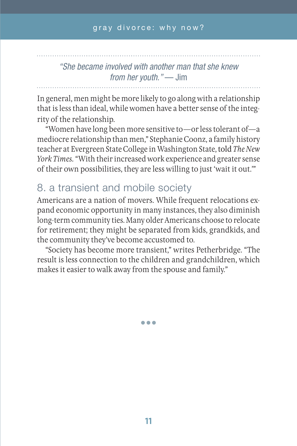# *"She became involved with another man that she knew from her youth."* — Jim

In general, men might be more likely to go along with a relationship that is less than ideal, while women have a better sense of the integrity of the relationship.

"Women have long been more sensitive to—or less tolerant of—a mediocre relationship than men," Stephanie Coonz, a family history teacher at Evergreen State College in Washington State, told *The New York Times.* "With their increased work experience and greater sense of their own possibilities, they are less willing to just 'wait it out.'"

# 8. a transient and mobile society

Americans are a nation of movers. While frequent relocations expand economic opportunity in many instances, they also diminish long-term community ties. Many older Americans choose to relocate for retirement; they might be separated from kids, grandkids, and the community they've become accustomed to.

"Society has become more transient," writes Petherbridge. "The result is less connection to the children and grandchildren, which makes it easier to walk away from the spouse and family."

•••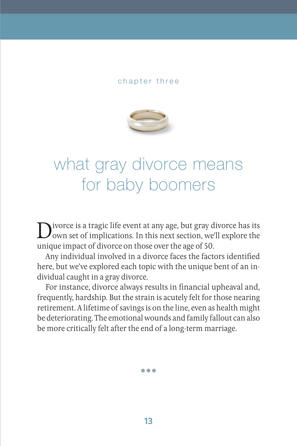### chapter three



# what gray divorce means for baby boomers

Divorce is a tragic life event at any age, but gray divorce has its<br>own set of implications. In this next section, we'll explore the<br>unique that divorce at the second has a set  $50$ unique impact of divorce on those over the age of 50.

Any individual involved in a divorce faces the factors identified here, but we've explored each topic with the unique bent of an individual caught in a gray divorce.

For instance, divorce always results in financial upheaval and, frequently, hardship. But the strain is acutely felt for those nearing retirement. A lifetime of savings is on the line, even as health might be deteriorating. The emotional wounds and family fallout can also be more critically felt after the end of a long-term marriage.

•••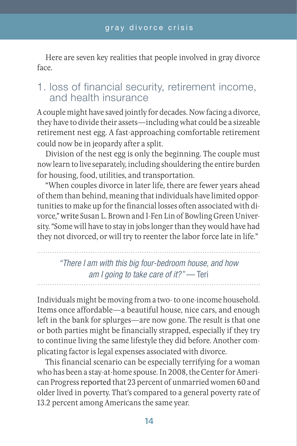Here are seven key realities that people involved in gray divorce face.

# 1. loss of financial security, retirement income, and health insurance

A couple might have saved jointly for decades. Now facing a divorce, they have to divide their assets—including what could be a sizeable retirement nest egg. A fast-approaching comfortable retirement could now be in jeopardy after a split.

Division of the nest egg is only the beginning. The couple must now learn to live separately, including shouldering the entire burden for housing, food, utilities, and transportation.

"When couples divorce in later life, there are fewer years ahead of them than behind, meaning that individuals have limited opportunities to make up for the financial losses often associated with divorce," write Susan L. Brown and I-Fen Lin of Bowling Green University. "Some will have to stay in jobs longer than they would have had they not divorced, or will try to reenter the labor force late in life."

*"There I am with this big four-bedroom house, and how am I going to take care of it?"* — Teri

Individuals might be moving from a two- to one-income household. Items once affordable—a beautiful house, nice cars, and enough left in the bank for splurges—are now gone. The result is that one or both parties might be financially strapped, especially if they try to continue living the same lifestyle they did before. Another complicating factor is legal expenses associated with divorce.

This financial scenario can be especially terrifying for a woman who has been a stay-at-home spouse. In 2008, the Center for American Progress reported that 23 percent of unmarried women 60 and older lived in poverty. That's compared to a general poverty rate of 13.2 percent among Americans the same year.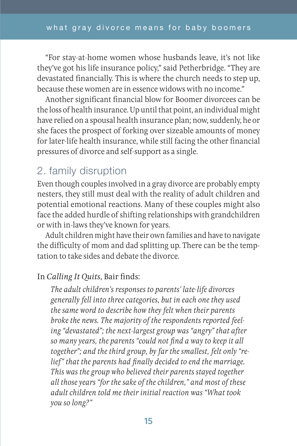"For stay-at-home women whose husbands leave, it's not like they've got his life insurance policy," said Petherbridge. "They are devastated financially. This is where the church needs to step up, because these women are in essence widows with no income."

Another significant financial blow for Boomer divorcees can be the loss of health insurance. Up until that point, an individual might have relied on a spousal health insurance plan; now, suddenly, he or she faces the prospect of forking over sizeable amounts of money for later-life health insurance, while still facing the other financial pressures of divorce and self-support as a single.

# 2. family disruption

Even though couples involved in a gray divorce are probably empty nesters, they still must deal with the reality of adult children and potential emotional reactions. Many of these couples might also face the added hurdle of shifting relationships with grandchildren or with in-laws they've known for years.

Adult children might have their own families and have to navigate the difficulty of mom and dad splitting up. There can be the temptation to take sides and debate the divorce.

### In *Calling It Quits*, Bair finds:

*The adult children's responses to parents' late-life divorces generally fell into three categories, but in each one they used the same word to describe how they felt when their parents broke the news. The majority of the respondents reported feeling "devastated"; the next-largest group was "angry" that after so many years, the parents "could not find a way to keep it all together"; and the third group, by far the smallest, felt only "relief" that the parents had finally decided to end the marriage. This was the group who believed their parents stayed together all those years "for the sake of the children," and most of these adult children told me their initial reaction was "What took you so long?"*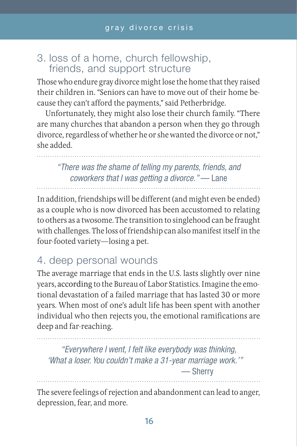# 3. loss of a home, church fellowship, friends, and support structure

Those who endure gray divorce might lose the home that they raised their children in. "Seniors can have to move out of their home because they can't afford the payments," said Petherbridge.

Unfortunately, they might also lose their church family. "There are many churches that abandon a person when they go through divorce, regardless of whether he or she wanted the divorce or not," she added.

*"There was the shame of telling my parents, friends, and coworkers that I was getting a divorce."* — Lane

In addition, friendships will be different (and might even be ended) as a couple who is now divorced has been accustomed to relating to others as a twosome. The transition to singlehood can be fraught with challenges. The loss of friendship can also manifest itself in the four-footed variety—losing a pet.

# 4. deep personal wounds

The average marriage that ends in the U.S. lasts slightly over nine years, according to the Bureau of Labor Statistics. Imagine the emotional devastation of a failed marriage that has lasted 30 or more years. When most of one's adult life has been spent with another individual who then rejects you, the emotional ramifications are deep and far-reaching.

*"Everywhere I went, I felt like everybody was thinking, 'What a loser. You couldn't make a 31-year marriage work.'"* — Sherry

The severe feelings of rejection and abandonment can lead to anger, depression, fear, and more.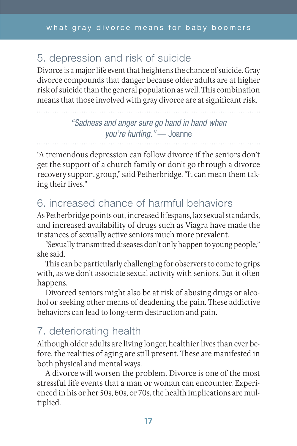# 5. depression and risk of suicide

Divorce is a major life event that heightens the chance of suicide. Gray divorce compounds that danger because older adults are at higher risk of suicide than the general population as well. This combination means that those involved with gray divorce are at significant risk.

> *"Sadness and anger sure go hand in hand when you're hurting."* — Joanne

"A tremendous depression can follow divorce if the seniors don't get the support of a church family or don't go through a divorce recovery support group," said Petherbridge. "It can mean them taking their lives."

# 6. increased chance of harmful behaviors

As Petherbridge points out, increased lifespans, lax sexual standards, and increased availability of drugs such as Viagra have made the instances of sexually active seniors much more prevalent.

"Sexually transmitted diseases don't only happen to young people," she said.

This can be particularly challenging for observers to come to grips with, as we don't associate sexual activity with seniors. But it often happens.

Divorced seniors might also be at risk of abusing drugs or alcohol or seeking other means of deadening the pain. These addictive behaviors can lead to long-term destruction and pain.

# 7. deteriorating health

Although older adults are living longer, healthier lives than ever before, the realities of aging are still present. These are manifested in both physical and mental ways.

A divorce will worsen the problem. Divorce is one of the most stressful life events that a man or woman can encounter. Experienced in his or her 50s, 60s, or 70s, the health implications are multiplied.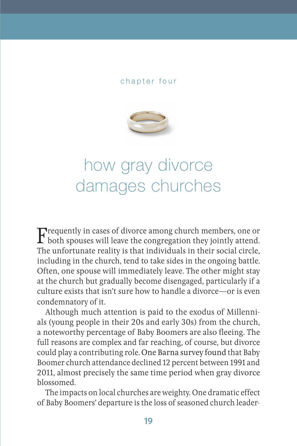### chapter four



# how gray divorce damages churches

Frequently in cases of divorce among church members, one or<br>both spouses will leave the congregation they jointly attend. The unfortunate reality is that individuals in their social circle, including in the church, tend to take sides in the ongoing battle. Often, one spouse will immediately leave. The other might stay at the church but gradually become disengaged, particularly if a culture exists that isn't sure how to handle a divorce—or is even condemnatory of it.

Although much attention is paid to the exodus of Millennials (young people in their 20s and early 30s) from the church, a noteworthy percentage of Baby Boomers are also fleeing. The full reasons are complex and far reaching, of course, but divorce could play a contributing role. One Barna survey found that Baby Boomer church attendance declined 12 percent between 1991 and 2011, almost precisely the same time period when gray divorce blossomed.

The impacts on local churches are weighty. One dramatic effect of Baby Boomers' departure is the loss of seasoned church leader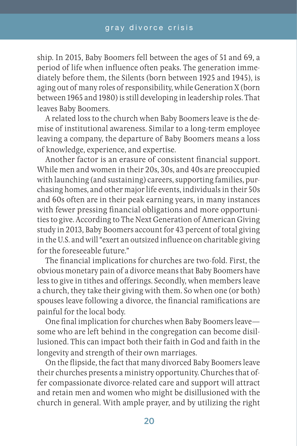ship. In 2015, Baby Boomers fell between the ages of 51 and 69, a period of life when influence often peaks. The generation immediately before them, the Silents (born between 1925 and 1945), is aging out of many roles of responsibility, while Generation X (born between 1965 and 1980) is still developing in leadership roles. That leaves Baby Boomers.

A related loss to the church when Baby Boomers leave is the demise of institutional awareness. Similar to a long-term employee leaving a company, the departure of Baby Boomers means a loss of knowledge, experience, and expertise.

Another factor is an erasure of consistent financial support. While men and women in their 20s, 30s, and 40s are preoccupied with launching (and sustaining) careers, supporting families, purchasing homes, and other major life events, individuals in their 50s and 60s often are in their peak earning years, in many instances with fewer pressing financial obligations and more opportunities to give. According to The Next Generation of American Giving study in 2013, Baby Boomers account for 43 percent of total giving in the U.S. and will "exert an outsized influence on charitable giving for the foreseeable future."

The financial implications for churches are two-fold. First, the obvious monetary pain of a divorce means that Baby Boomers have less to give in tithes and offerings. Secondly, when members leave a church, they take their giving with them. So when one (or both) spouses leave following a divorce, the financial ramifications are painful for the local body.

One final implication for churches when Baby Boomers leave some who are left behind in the congregation can become disillusioned. This can impact both their faith in God and faith in the longevity and strength of their own marriages.

On the flipside, the fact that many divorced Baby Boomers leave their churches presents a ministry opportunity. Churches that offer compassionate divorce-related care and support will attract and retain men and women who might be disillusioned with the church in general. With ample prayer, and by utilizing the right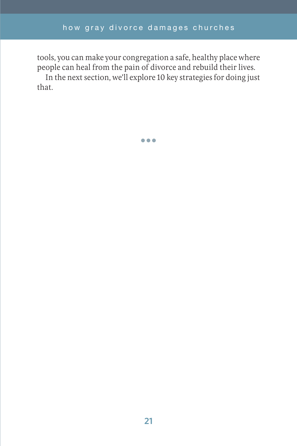tools, you can make your congregation a safe, healthy place where people can heal from the pain of divorce and rebuild their lives.

In the next section, we'll explore 10 key strategies for doing just that.

•••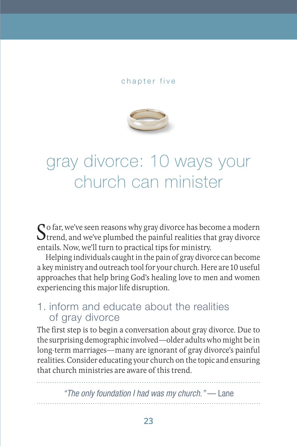### chapter five



# gray divorce: 10 ways your church can minister

So far, we've seen reasons why gray divorce has become a modern<br>Strend, and we've plumbed the painful realities that gray divorce<br>which New we'll turn to prestical time for ministry. entails. Now, we'll turn to practical tips for ministry.

Helping individuals caught in the pain of gray divorce can become a key ministry and outreach tool for your church. Here are 10 useful approaches that help bring God's healing love to men and women experiencing this major life disruption.

# 1. inform and educate about the realities of gray divorce

The first step is to begin a conversation about gray divorce. Due to the surprising demographic involved—older adults who might be in long-term marriages—many are ignorant of gray divorce's painful realities. Consider educating your church on the topic and ensuring that church ministries are aware of this trend.

*"The only foundation I had was my church."* — Lane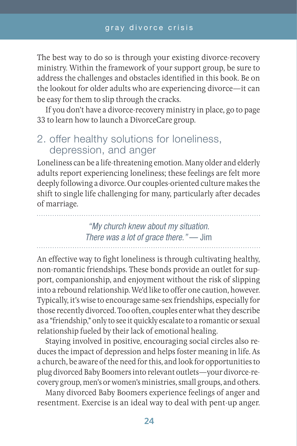The best way to do so is through your existing divorce-recovery ministry. Within the framework of your support group, be sure to address the challenges and obstacles identified in this book. Be on the lookout for older adults who are experiencing divorce—it can be easy for them to slip through the cracks.

If you don't have a divorce-recovery ministry in place, go to page 33 to learn how to launch a DivorceCare group.

# 2. offer healthy solutions for loneliness, depression, and anger

Loneliness can be a life-threatening emotion. Many older and elderly adults report experiencing loneliness; these feelings are felt more deeply following a divorce. Our couples-oriented culture makes the shift to single life challenging for many, particularly after decades of marriage.

> *"My church knew about my situation. There was a lot of grace there."* — Jim

An effective way to fight loneliness is through cultivating healthy, non-romantic friendships. These bonds provide an outlet for support, companionship, and enjoyment without the risk of slipping into a rebound relationship. We'd like to offer one caution, however. Typically, it's wise to encourage same-sex friendships, especially for those recently divorced. Too often, couples enter what they describe as a "friendship," only to see it quickly escalate to a romantic or sexual relationship fueled by their lack of emotional healing.

Staying involved in positive, encouraging social circles also reduces the impact of depression and helps foster meaning in life. As a church, be aware of the need for this, and look for opportunities to plug divorced Baby Boomers into relevant outlets—your divorce-recovery group, men's or women's ministries, small groups, and others.

Many divorced Baby Boomers experience feelings of anger and resentment. Exercise is an ideal way to deal with pent-up anger.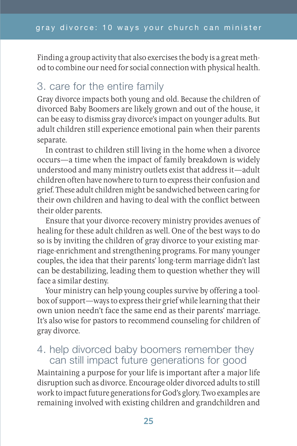Finding a group activity that also exercises the body is a great method to combine our need for social connection with physical health.

# 3. care for the entire family

Gray divorce impacts both young and old. Because the children of divorced Baby Boomers are likely grown and out of the house, it can be easy to dismiss gray divorce's impact on younger adults. But adult children still experience emotional pain when their parents separate.

In contrast to children still living in the home when a divorce occurs—a time when the impact of family breakdown is widely understood and many ministry outlets exist that address it—adult children often have nowhere to turn to express their confusion and grief. These adult children might be sandwiched between caring for their own children and having to deal with the conflict between their older parents.

Ensure that your divorce-recovery ministry provides avenues of healing for these adult children as well. One of the best ways to do so is by inviting the children of gray divorce to your existing marriage-enrichment and strengthening programs. For many younger couples, the idea that their parents' long-term marriage didn't last can be destabilizing, leading them to question whether they will face a similar destiny.

Your ministry can help young couples survive by offering a toolbox of support—ways to express their grief while learning that their own union needn't face the same end as their parents' marriage. It's also wise for pastors to recommend counseling for children of gray divorce.

# 4. help divorced baby boomers remember they can still impact future generations for good

Maintaining a purpose for your life is important after a major life disruption such as divorce. Encourage older divorced adults to still work to impact future generations for God's glory. Two examples are remaining involved with existing children and grandchildren and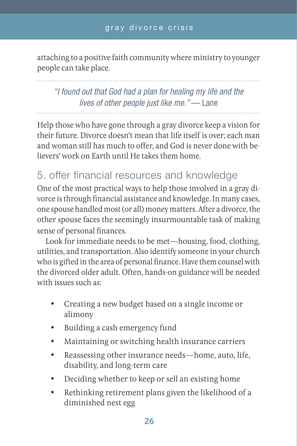attaching to a positive faith community where ministry to younger people can take place.

*"I found out that God had a plan for healing my life and the lives of other people just like me."* — Lane

Help those who have gone through a gray divorce keep a vision for their future. Divorce doesn't mean that life itself is over; each man and woman still has much to offer, and God is never done with believers' work on Earth until He takes them home.

# 5. offer financial resources and knowledge

One of the most practical ways to help those involved in a gray divorce is through financial assistance and knowledge. In many cases, one spouse handled most (or all) money matters. After a divorce, the other spouse faces the seemingly insurmountable task of making sense of personal finances.

Look for immediate needs to be met—housing, food, clothing, utilities, and transportation. Also identify someone in your church who is gifted in the area of personal finance. Have them counsel with the divorced older adult. Often, hands-on guidance will be needed with issues such as:

- Creating a new budget based on a single income or alimony
- • Building a cash emergency fund
- • Maintaining or switching health insurance carriers
- Reassessing other insurance needs—home, auto, life, disability, and long-term care
- Deciding whether to keep or sell an existing home
- Rethinking retirement plans given the likelihood of a diminished nest egg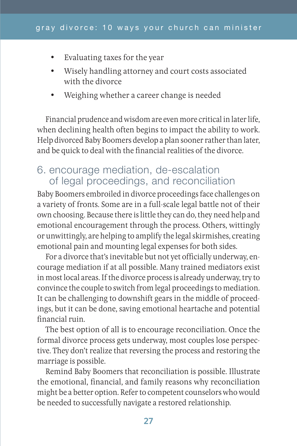- • Evaluating taxes for the year
- • Wisely handling attorney and court costs associated with the divorce
- Weighing whether a career change is needed

Financial prudence and wisdom are even more critical in later life, when declining health often begins to impact the ability to work. Help divorced Baby Boomers develop a plan sooner rather than later, and be quick to deal with the financial realities of the divorce.

# 6. encourage mediation, de-escalation of legal proceedings, and reconciliation

Baby Boomers embroiled in divorce proceedings face challenges on a variety of fronts. Some are in a full-scale legal battle not of their own choosing. Because there is little they can do, they need help and emotional encouragement through the process. Others, wittingly or unwittingly, are helping to amplify the legal skirmishes, creating emotional pain and mounting legal expenses for both sides.

For a divorce that's inevitable but not yet officially underway, encourage mediation if at all possible. Many trained mediators exist in most local areas. If the divorce process is already underway, try to convince the couple to switch from legal proceedings to mediation. It can be challenging to downshift gears in the middle of proceedings, but it can be done, saving emotional heartache and potential financial ruin.

The best option of all is to encourage reconciliation. Once the formal divorce process gets underway, most couples lose perspective. They don't realize that reversing the process and restoring the marriage is possible.

Remind Baby Boomers that reconciliation is possible. Illustrate the emotional, financial, and family reasons why reconciliation might be a better option. Refer to competent counselors who would be needed to successfully navigate a restored relationship.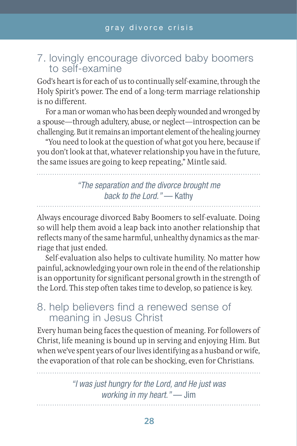# 7. lovingly encourage divorced baby boomers to self-examine

God's heart is for each of us to continually self-examine, through the Holy Spirit's power. The end of a long-term marriage relationship is no different.

For a man or woman who has been deeply wounded and wronged by a spouse—through adultery, abuse, or neglect—introspection can be challenging. But it remains an important element of the healing journey

"You need to look at the question of what got you here, because if you don't look at that, whatever relationship you have in the future, the same issues are going to keep repeating," Mintle said.

# *"The separation and the divorce brought me back to the Lord."* — Kathy

Always encourage divorced Baby Boomers to self-evaluate. Doing so will help them avoid a leap back into another relationship that reflects many of the same harmful, unhealthy dynamics as the marriage that just ended.

Self-evaluation also helps to cultivate humility. No matter how painful, acknowledging your own role in the end of the relationship is an opportunity for significant personal growth in the strength of the Lord. This step often takes time to develop, so patience is key.

# 8. help believers find a renewed sense of meaning in Jesus Christ

Every human being faces the question of meaning. For followers of Christ, life meaning is bound up in serving and enjoying Him. But when we've spent years of our lives identifying as a husband or wife, the evaporation of that role can be shocking, even for Christians.

> *"I was just hungry for the Lord, and He just was working in my heart."* — Jim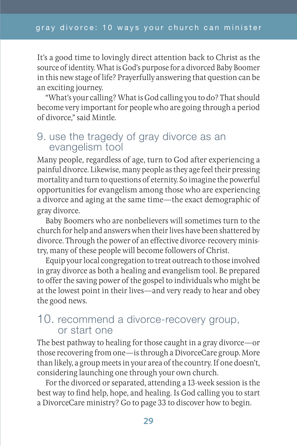It's a good time to lovingly direct attention back to Christ as the source of identity. What is God's purpose for a divorced Baby Boomer in this new stage of life? Prayerfully answering that question can be an exciting journey.

"What's your calling? What is God calling you to do? That should become very important for people who are going through a period of divorce," said Mintle.

# 9. use the tragedy of gray divorce as an evangelism tool

Many people, regardless of age, turn to God after experiencing a painful divorce. Likewise, many people as they age feel their pressing mortality and turn to questions of eternity. So imagine the powerful opportunities for evangelism among those who are experiencing a divorce and aging at the same time—the exact demographic of gray divorce.

Baby Boomers who are nonbelievers will sometimes turn to the church for help and answers when their lives have been shattered by divorce. Through the power of an effective divorce-recovery ministry, many of these people will become followers of Christ.

Equip your local congregation to treat outreach to those involved in gray divorce as both a healing and evangelism tool. Be prepared to offer the saving power of the gospel to individuals who might be at the lowest point in their lives—and very ready to hear and obey the good news.

# 10. recommend a divorce-recovery group, or start one

The best pathway to healing for those caught in a gray divorce—or those recovering from one—is through a DivorceCare group. More than likely, a group meets in your area of the country. If one doesn't, considering launching one through your own church.

For the divorced or separated, attending a 13-week session is the best way to find help, hope, and healing. Is God calling you to start a DivorceCare ministry? Go to page 33 to discover how to begin.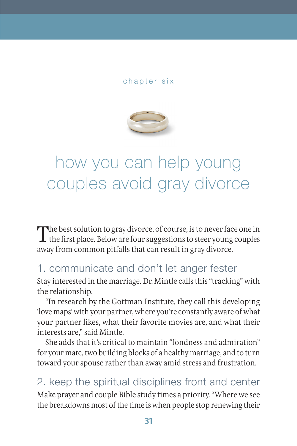### chapter six



# how you can help young couples avoid gray divorce

The best solution to gray divorce, of course, is to never face one in<br>the first place. Below are four suggestions to steer young couples away from common pitfalls that can result in gray divorce.

# 1. communicate and don't let anger fester

Stay interested in the marriage. Dr. Mintle calls this "tracking" with the relationship.

"In research by the Gottman Institute, they call this developing 'love maps' with your partner, where you're constantly aware of what your partner likes, what their favorite movies are, and what their interests are," said Mintle.

She adds that it's critical to maintain "fondness and admiration" for your mate, two building blocks of a healthy marriage, and to turn toward your spouse rather than away amid stress and frustration.

2. keep the spiritual disciplines front and center Make prayer and couple Bible study times a priority. "Where we see the breakdowns most of the time is when people stop renewing their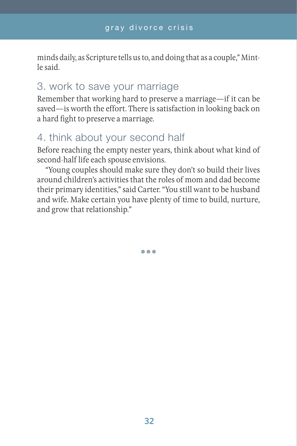minds daily, as Scripture tells us to, and doing that as a couple," Mintle said.

# 3. work to save your marriage

Remember that working hard to preserve a marriage—if it can be saved—is worth the effort. There is satisfaction in looking back on a hard fight to preserve a marriage.

# 4. think about your second half

Before reaching the empty nester years, think about what kind of second-half life each spouse envisions.

"Young couples should make sure they don't so build their lives around children's activities that the roles of mom and dad become their primary identities," said Carter. "You still want to be husband and wife. Make certain you have plenty of time to build, nurture, and grow that relationship."

•••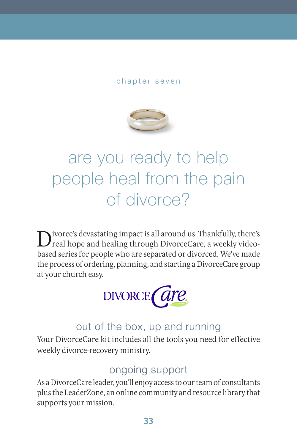### chapter seven



# are you ready to help people heal from the pain of divorce?

Divorce's devastating impact is all around us. Thankfully, there's real hope and healing through DivorceCare, a weekly videobased series for people who are separated or divorced. We've made the process of ordering, planning, and starting a DivorceCare group at your church easy.



# out of the box, up and running

Your DivorceCare kit includes all the tools you need for effective weekly divorce-recovery ministry.

# ongoing support

As a DivorceCare leader, you'll enjoy access to our team of consultants plus the LeaderZone, an online community and resource library that supports your mission.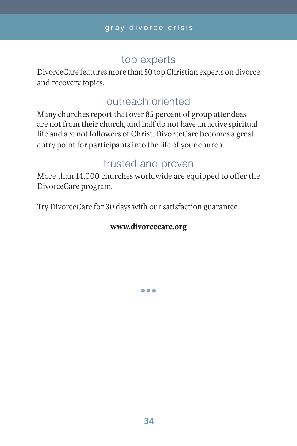# top experts

DivorceCare features more than 50 top Christian experts on divorce and recovery topics.

# outreach oriented

Many churches report that over 85 percent of group attendees are not from their church, and half do not have an active spiritual life and are not followers of Christ. DivorceCare becomes a great entry point for participants into the life of your church.

# trusted and proven

More than 14,000 churches worldwide are equipped to offer the DivorceCare program.

Try DivorceCare for 30 days with our satisfaction guarantee.

## **www.divorcecare.org**

•••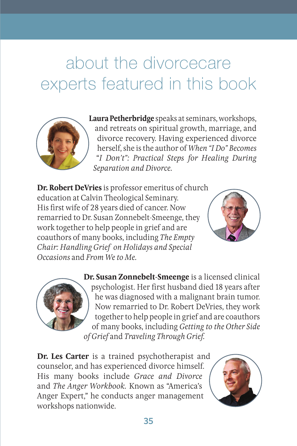# about the divorcecare experts featured in this book



**Laura Petherbridge** speaks at seminars, workshops, and retreats on spiritual growth, marriage, and divorce recovery. Having experienced divorce herself, she is the author of *When "I Do" Becomes*  "*I Don't": Practical Steps for Healing During Separation and Divorce.*

**Dr. Robert DeVries** is professor emeritus of church education at Calvin Theological Seminary. His first wife of 28 years died of cancer. Now remarried to Dr. Susan Zonnebelt-Smeenge, they work together to help people in grief and are coauthors of many books, including *The Empty Chair: Handling Grief on Holidays and Special Occasions* and *From We to Me.*





**Dr. Susan Zonnebelt-Smeenge** is a licensed clinical psychologist. Her first husband died 18 years after he was diagnosed with a malignant brain tumor. Now remarried to Dr. Robert DeVries, they work together to help people in grief and are coauthors of many books, including *Getting to the Other Side of Grief* and *Traveling Through Grief.*

**Dr. Les Carter** is a trained psychotherapist and counselor, and has experienced divorce himself. His many books include *Grace and Divorce* and *The Anger Workbook.* Known as "America's Anger Expert," he conducts anger management workshops nationwide.

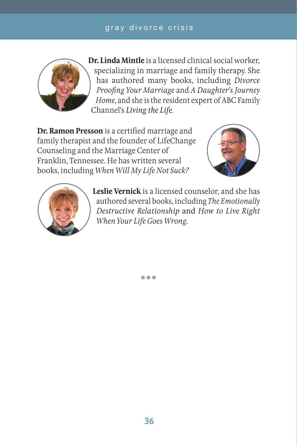## gray divorce crisis



**Dr. Linda Mintle** is a licensed clinical social worker, specializing in marriage and family therapy. She has authored many books, including *Divorce Proofing Your Marriage* and *A Daughter's Journey Home*, and she is the resident expert of ABC Family Channel's *Living the Life*.

**Dr. Ramon Presson** is a certified marriage and family therapist and the founder of LifeChange Counseling and the Marriage Center of Franklin, Tennessee. He has written several books, including *When Will My Life Not Suck?*





**Leslie Vernick** is a licensed counselor, and she has authored several books, including *The Emotionally Destructive Relationship* and *How to Live Right When Your Life Goes Wrong.*

•••